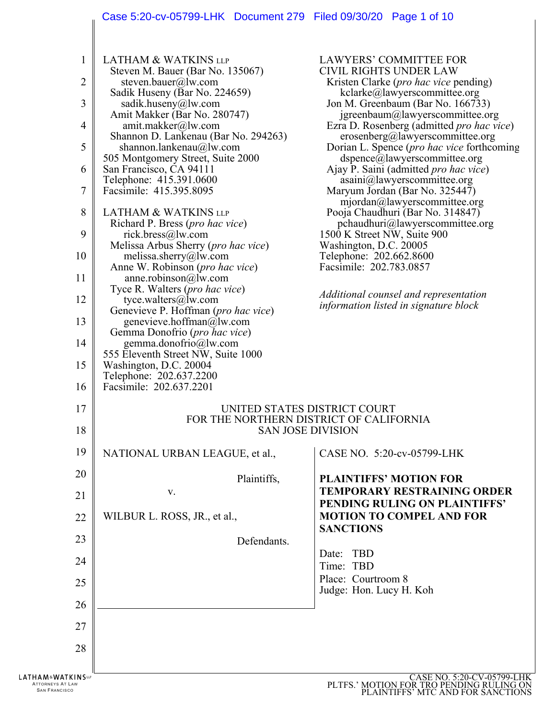# Case 5:20-cv-05799-LHK Document 279 Filed 09/30/20 Page 1 of 10

| $\mathbf 1$<br>2<br>3<br>$\overline{4}$<br>5<br>6<br>7<br>8<br>9<br>10<br>11<br>12<br>13<br>14<br>15<br>16 | <b>LATHAM &amp; WATKINS LLP</b><br>Steven M. Bauer (Bar No. 135067)<br>steven.bauer@lw.com<br>Sadik Huseny (Bar No. 224659)<br>sadik.huseny@lw.com<br>Amit Makker (Bar No. 280747)<br>amit.makker@lw.com<br>Shannon D. Lankenau (Bar No. 294263)<br>shannon.lankenau@lw.com<br>505 Montgomery Street, Suite 2000<br>San Francisco, CA 94111<br>Telephone: 415.391.0600<br>Facsimile: 415.395.8095<br><b>LATHAM &amp; WATKINS LLP</b><br>Richard P. Bress (pro hac vice)<br>rick.bress@lw.com<br>Melissa Arbus Sherry (pro hac vice)<br>melissa.sherry@lw.com<br>Anne W. Robinson ( <i>pro hac vice</i> )<br>anne.robinson@lw.com<br>Tyce R. Walters ( <i>pro hac vice</i> )<br>tyce.walters@lw.com<br>Genevieve P. Hoffman (pro hac vice)<br>genevieve.hoffman@lw.com<br>Gemma Donofrio (pro hac vice)<br>gemma.donofrio@lw.com<br>555 Eleventh Street NW, Suite 1000<br>Washington, D.C. 20004<br>Telephone: 202.637.2200<br>Facsimile: 202.637.2201 | LAWYERS' COMMITTEE FOR<br><b>CIVIL RIGHTS UNDER LAW</b><br>Kristen Clarke ( <i>pro hac vice</i> pending)<br>kclarke@lawyerscommittee.org<br>Jon M. Greenbaum (Bar No. 166733)<br>jgreenbaum@lawyerscommittee.org<br>Ezra D. Rosenberg (admitted <i>pro hac vice</i> )<br>erosenberg@lawyerscommittee.org<br>Dorian L. Spence ( <i>pro hac vice</i> forthcoming<br>dspence@lawyerscommittee.org<br>Ajay P. Saini (admitted <i>pro hac vice</i> )<br>asaini@lawyerscommittee.org<br>Maryum Jordan (Bar No. 325447)<br>mjordan@lawyerscommittee.org<br>Pooja Chaudhuri (Bar No. 314847)<br>pchaudhuri@lawyerscommittee.org<br>1500 K Street NW, Suite 900<br>Washington, D.C. 20005<br>Telephone: 202.662.8600<br>Facsimile: 202.783.0857<br>Additional counsel and representation<br><i>information listed in signature block</i> |
|------------------------------------------------------------------------------------------------------------|-------------------------------------------------------------------------------------------------------------------------------------------------------------------------------------------------------------------------------------------------------------------------------------------------------------------------------------------------------------------------------------------------------------------------------------------------------------------------------------------------------------------------------------------------------------------------------------------------------------------------------------------------------------------------------------------------------------------------------------------------------------------------------------------------------------------------------------------------------------------------------------------------------------------------------------------------------|---------------------------------------------------------------------------------------------------------------------------------------------------------------------------------------------------------------------------------------------------------------------------------------------------------------------------------------------------------------------------------------------------------------------------------------------------------------------------------------------------------------------------------------------------------------------------------------------------------------------------------------------------------------------------------------------------------------------------------------------------------------------------------------------------------------------------------|
| 17<br>18                                                                                                   |                                                                                                                                                                                                                                                                                                                                                                                                                                                                                                                                                                                                                                                                                                                                                                                                                                                                                                                                                       | UNITED STATES DISTRICT COURT<br>FOR THE NORTHERN DISTRICT OF CALIFORNIA<br><b>SAN JOSE DIVISION</b>                                                                                                                                                                                                                                                                                                                                                                                                                                                                                                                                                                                                                                                                                                                             |
| 19                                                                                                         | NATIONAL URBAN LEAGUE, et al.,                                                                                                                                                                                                                                                                                                                                                                                                                                                                                                                                                                                                                                                                                                                                                                                                                                                                                                                        | CASE NO. 5:20-cv-05799-LHK                                                                                                                                                                                                                                                                                                                                                                                                                                                                                                                                                                                                                                                                                                                                                                                                      |
| 20                                                                                                         | Plaintiffs,                                                                                                                                                                                                                                                                                                                                                                                                                                                                                                                                                                                                                                                                                                                                                                                                                                                                                                                                           | <b>PLAINTIFFS' MOTION FOR</b>                                                                                                                                                                                                                                                                                                                                                                                                                                                                                                                                                                                                                                                                                                                                                                                                   |
| 21                                                                                                         | V.                                                                                                                                                                                                                                                                                                                                                                                                                                                                                                                                                                                                                                                                                                                                                                                                                                                                                                                                                    | <b>TEMPORARY RESTRAINING ORDER</b><br>PENDING RULING ON PLAINTIFFS'                                                                                                                                                                                                                                                                                                                                                                                                                                                                                                                                                                                                                                                                                                                                                             |
| 22                                                                                                         | WILBUR L. ROSS, JR., et al.,                                                                                                                                                                                                                                                                                                                                                                                                                                                                                                                                                                                                                                                                                                                                                                                                                                                                                                                          | <b>MOTION TO COMPEL AND FOR</b><br><b>SANCTIONS</b>                                                                                                                                                                                                                                                                                                                                                                                                                                                                                                                                                                                                                                                                                                                                                                             |
| 23                                                                                                         | Defendants.                                                                                                                                                                                                                                                                                                                                                                                                                                                                                                                                                                                                                                                                                                                                                                                                                                                                                                                                           |                                                                                                                                                                                                                                                                                                                                                                                                                                                                                                                                                                                                                                                                                                                                                                                                                                 |
| 24                                                                                                         |                                                                                                                                                                                                                                                                                                                                                                                                                                                                                                                                                                                                                                                                                                                                                                                                                                                                                                                                                       | Date: TBD<br>Time: TBD                                                                                                                                                                                                                                                                                                                                                                                                                                                                                                                                                                                                                                                                                                                                                                                                          |
| 25                                                                                                         |                                                                                                                                                                                                                                                                                                                                                                                                                                                                                                                                                                                                                                                                                                                                                                                                                                                                                                                                                       | Place: Courtroom 8<br>Judge: Hon. Lucy H. Koh                                                                                                                                                                                                                                                                                                                                                                                                                                                                                                                                                                                                                                                                                                                                                                                   |
| 26                                                                                                         |                                                                                                                                                                                                                                                                                                                                                                                                                                                                                                                                                                                                                                                                                                                                                                                                                                                                                                                                                       |                                                                                                                                                                                                                                                                                                                                                                                                                                                                                                                                                                                                                                                                                                                                                                                                                                 |
| 27                                                                                                         |                                                                                                                                                                                                                                                                                                                                                                                                                                                                                                                                                                                                                                                                                                                                                                                                                                                                                                                                                       |                                                                                                                                                                                                                                                                                                                                                                                                                                                                                                                                                                                                                                                                                                                                                                                                                                 |
| 28                                                                                                         |                                                                                                                                                                                                                                                                                                                                                                                                                                                                                                                                                                                                                                                                                                                                                                                                                                                                                                                                                       |                                                                                                                                                                                                                                                                                                                                                                                                                                                                                                                                                                                                                                                                                                                                                                                                                                 |
| <b>LATHAM&amp;WATKINS</b><br>ATTORNEYS AT LAW<br><b>SAN FRANCISCO</b>                                      |                                                                                                                                                                                                                                                                                                                                                                                                                                                                                                                                                                                                                                                                                                                                                                                                                                                                                                                                                       | CASE NO. 5:20-CV-05799-LHK<br>PLTFS.' MOTION FOR TRO PENDING RULING ON PLAINTIFFS' MTC AND FOR SANCTIONS                                                                                                                                                                                                                                                                                                                                                                                                                                                                                                                                                                                                                                                                                                                        |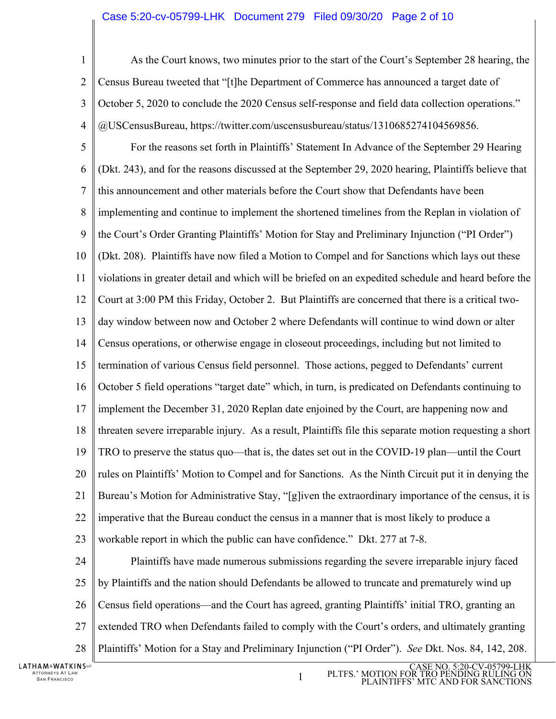### Case 5:20-cv-05799-LHK Document 279 Filed 09/30/20 Page 2 of 10

1  $\mathcal{D}_{\mathcal{L}}$ 3 4 5 6 7 8 9 10 11 12 13 14 15 16 17 18 19 20 21 22 23 24 25 26 27 28 As the Court knows, two minutes prior to the start of the Court's September 28 hearing, the Census Bureau tweeted that "[t]he Department of Commerce has announced a target date of October 5, 2020 to conclude the 2020 Census self-response and field data collection operations." @USCensusBureau, https://twitter.com/uscensusbureau/status/1310685274104569856. For the reasons set forth in Plaintiffs' Statement In Advance of the September 29 Hearing (Dkt. 243), and for the reasons discussed at the September 29, 2020 hearing, Plaintiffs believe that this announcement and other materials before the Court show that Defendants have been implementing and continue to implement the shortened timelines from the Replan in violation of the Court's Order Granting Plaintiffs' Motion for Stay and Preliminary Injunction ("PI Order") (Dkt. 208). Plaintiffs have now filed a Motion to Compel and for Sanctions which lays out these violations in greater detail and which will be briefed on an expedited schedule and heard before the Court at 3:00 PM this Friday, October 2. But Plaintiffs are concerned that there is a critical twoday window between now and October 2 where Defendants will continue to wind down or alter Census operations, or otherwise engage in closeout proceedings, including but not limited to termination of various Census field personnel. Those actions, pegged to Defendants' current October 5 field operations "target date" which, in turn, is predicated on Defendants continuing to implement the December 31, 2020 Replan date enjoined by the Court, are happening now and threaten severe irreparable injury. As a result, Plaintiffs file this separate motion requesting a short TRO to preserve the status quo—that is, the dates set out in the COVID-19 plan—until the Court rules on Plaintiffs' Motion to Compel and for Sanctions. As the Ninth Circuit put it in denying the Bureau's Motion for Administrative Stay, "[g]iven the extraordinary importance of the census, it is imperative that the Bureau conduct the census in a manner that is most likely to produce a workable report in which the public can have confidence." Dkt. 277 at 7-8. Plaintiffs have made numerous submissions regarding the severe irreparable injury faced by Plaintiffs and the nation should Defendants be allowed to truncate and prematurely wind up Census field operations—and the Court has agreed, granting Plaintiffs' initial TRO, granting an extended TRO when Defendants failed to comply with the Court's orders, and ultimately granting Plaintiffs' Motion for a Stay and Preliminary Injunction ("PI Order"). *See* Dkt. Nos. 84, 142, 208.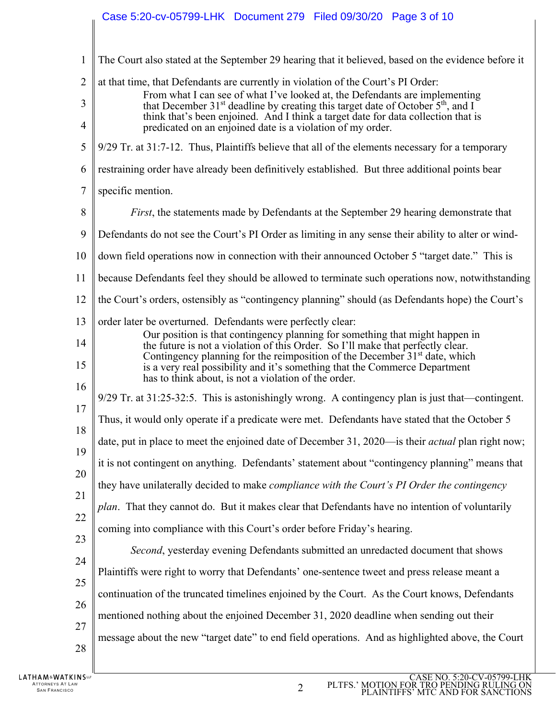# Case 5:20-cv-05799-LHK Document 279 Filed 09/30/20 Page 3 of 10

| $\mathbf{1}$   | The Court also stated at the September 29 hearing that it believed, based on the evidence before it                                                                                                                          |
|----------------|------------------------------------------------------------------------------------------------------------------------------------------------------------------------------------------------------------------------------|
| $\overline{2}$ | at that time, that Defendants are currently in violation of the Court's PI Order:                                                                                                                                            |
| 3              | From what I can see of what I've looked at, the Defendants are implementing<br>that December 31 <sup>st</sup> deadline by creating this target date of October 5 <sup>th</sup> , and I                                       |
| $\overline{4}$ | think that's been enjoined. And I think a target date for data collection that is<br>predicated on an enjoined date is a violation of my order.                                                                              |
| 5              | 9/29 Tr. at 31:7-12. Thus, Plaintiffs believe that all of the elements necessary for a temporary                                                                                                                             |
| 6              | restraining order have already been definitively established. But three additional points bear                                                                                                                               |
| 7              | specific mention.                                                                                                                                                                                                            |
| 8              | <i>First</i> , the statements made by Defendants at the September 29 hearing demonstrate that                                                                                                                                |
| 9              | Defendants do not see the Court's PI Order as limiting in any sense their ability to alter or wind-                                                                                                                          |
| 10             | down field operations now in connection with their announced October 5 "target date." This is                                                                                                                                |
| 11             | because Defendants feel they should be allowed to terminate such operations now, notwithstanding                                                                                                                             |
| 12             | the Court's orders, ostensibly as "contingency planning" should (as Defendants hope) the Court's                                                                                                                             |
| 13             | order later be overturned. Defendants were perfectly clear:                                                                                                                                                                  |
| 14             | Our position is that contingency planning for something that might happen in<br>the future is not a violation of this Order. So I'll make that perfectly clear.                                                              |
| 15             | Contingency planning for the reimposition of the December 31 <sup>st</sup> date, which<br>is a very real possibility and it's something that the Commerce Department<br>has to think about, is not a violation of the order. |
| 16             | $9/29$ Tr. at $31:25-32:5$ . This is astonishingly wrong. A contingency plan is just that—contingent.                                                                                                                        |
| 17<br>18       | Thus, it would only operate if a predicate were met. Defendants have stated that the October 5                                                                                                                               |
| 19             | date, put in place to meet the enjoined date of December 31, 2020—is their <i>actual</i> plan right now;                                                                                                                     |
|                | it is not contingent on anything. Defendants' statement about "contingency planning" means that                                                                                                                              |
| 20             | they have unilaterally decided to make compliance with the Court's PI Order the contingency                                                                                                                                  |
| 21             | plan. That they cannot do. But it makes clear that Defendants have no intention of voluntarily                                                                                                                               |
| 22             | coming into compliance with this Court's order before Friday's hearing.                                                                                                                                                      |
| 23             | Second, yesterday evening Defendants submitted an unredacted document that shows                                                                                                                                             |
| 24             | Plaintiffs were right to worry that Defendants' one-sentence tweet and press release meant a                                                                                                                                 |
| 25             | continuation of the truncated timelines enjoined by the Court. As the Court knows, Defendants                                                                                                                                |
| 26             | mentioned nothing about the enjoined December 31, 2020 deadline when sending out their                                                                                                                                       |
| 27             | message about the new "target date" to end field operations. And as highlighted above, the Court                                                                                                                             |
| 28             |                                                                                                                                                                                                                              |
|                |                                                                                                                                                                                                                              |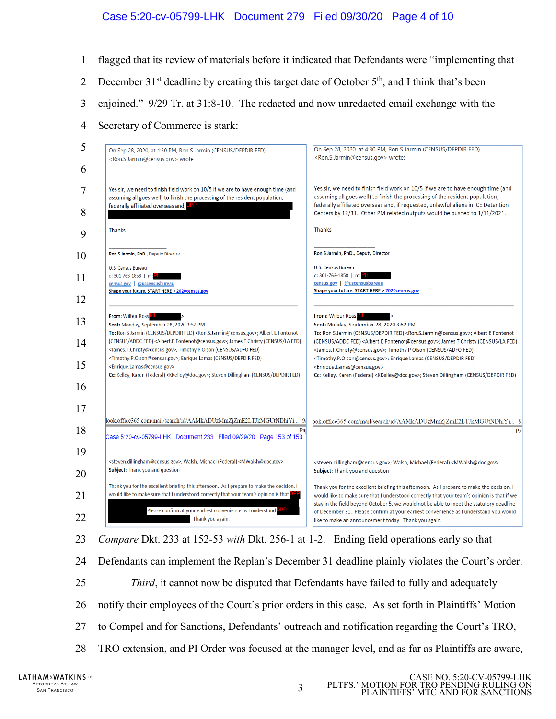### Case 5:20-cv-05799-LHK Document 279 Filed 09/30/20 Page 4 of 10

- flagged that its review of materials before it indicated that Defendants were "implementing that
- $\mathfrak{D}$ December  $31<sup>st</sup>$  deadline by creating this target date of October  $5<sup>th</sup>$ , and I think that's been
- enjoined." 9/29 Tr. at 31:8-10. The redacted and now unredacted email exchange with the
- Secretary of Commerce is stark:



- to Compel and for Sanctions, Defendants' outreach and notification regarding the Court's TRO,
- TRO extension, and PI Order was focused at the manager level, and as far as Plaintiffs are aware,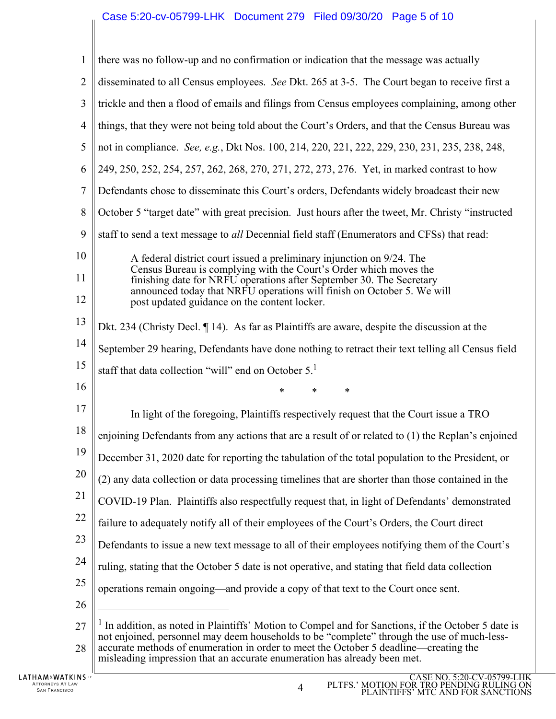# Case 5:20-cv-05799-LHK Document 279 Filed 09/30/20 Page 5 of 10

| $\mathbf{1}$   | there was no follow-up and no confirmation or indication that the message was actually                                                                                                                                                                                                                                                                                           |
|----------------|----------------------------------------------------------------------------------------------------------------------------------------------------------------------------------------------------------------------------------------------------------------------------------------------------------------------------------------------------------------------------------|
| $\overline{2}$ | disseminated to all Census employees. See Dkt. 265 at 3-5. The Court began to receive first a                                                                                                                                                                                                                                                                                    |
| 3              | trickle and then a flood of emails and filings from Census employees complaining, among other                                                                                                                                                                                                                                                                                    |
| $\overline{4}$ | things, that they were not being told about the Court's Orders, and that the Census Bureau was                                                                                                                                                                                                                                                                                   |
| 5              | not in compliance. See, e.g., Dkt Nos. 100, 214, 220, 221, 222, 229, 230, 231, 235, 238, 248,                                                                                                                                                                                                                                                                                    |
| 6              | 249, 250, 252, 254, 257, 262, 268, 270, 271, 272, 273, 276. Yet, in marked contrast to how                                                                                                                                                                                                                                                                                       |
| 7              | Defendants chose to disseminate this Court's orders, Defendants widely broadcast their new                                                                                                                                                                                                                                                                                       |
| 8              | October 5 "target date" with great precision. Just hours after the tweet, Mr. Christy "instructed                                                                                                                                                                                                                                                                                |
| 9              | staff to send a text message to all Decennial field staff (Enumerators and CFSs) that read:                                                                                                                                                                                                                                                                                      |
| 10             | A federal district court issued a preliminary injunction on 9/24. The                                                                                                                                                                                                                                                                                                            |
| 11             | Census Bureau is complying with the Court's Order which moves the<br>finishing date for NRFU operations after September 30. The Secretary                                                                                                                                                                                                                                        |
| 12             | announced today that NRFU operations will finish on October 5. We will<br>post updated guidance on the content locker.                                                                                                                                                                                                                                                           |
| 13             | Dkt. 234 (Christy Decl. 14). As far as Plaintiffs are aware, despite the discussion at the                                                                                                                                                                                                                                                                                       |
| 14             | September 29 hearing, Defendants have done nothing to retract their text telling all Census field                                                                                                                                                                                                                                                                                |
| 15             | staff that data collection "will" end on October 5. <sup>1</sup>                                                                                                                                                                                                                                                                                                                 |
| 16             | $\ast$<br>$\ast$<br>$\ast$                                                                                                                                                                                                                                                                                                                                                       |
| 17             | In light of the foregoing, Plaintiffs respectively request that the Court issue a TRO                                                                                                                                                                                                                                                                                            |
| 18             | enjoining Defendants from any actions that are a result of or related to (1) the Replan's enjoined                                                                                                                                                                                                                                                                               |
| 19             | December 31, 2020 date for reporting the tabulation of the total population to the President, or                                                                                                                                                                                                                                                                                 |
| 20             | (2) any data collection or data processing timelines that are shorter than those contained in the                                                                                                                                                                                                                                                                                |
| 21             | COVID-19 Plan. Plaintiffs also respectfully request that, in light of Defendants' demonstrated                                                                                                                                                                                                                                                                                   |
| 22             | failure to adequately notify all of their employees of the Court's Orders, the Court direct                                                                                                                                                                                                                                                                                      |
| 23             | Defendants to issue a new text message to all of their employees notifying them of the Court's                                                                                                                                                                                                                                                                                   |
| 24             | ruling, stating that the October 5 date is not operative, and stating that field data collection                                                                                                                                                                                                                                                                                 |
| 25             | operations remain ongoing—and provide a copy of that text to the Court once sent.                                                                                                                                                                                                                                                                                                |
| 26             |                                                                                                                                                                                                                                                                                                                                                                                  |
| 27<br>28       | <sup>1</sup> In addition, as noted in Plaintiffs' Motion to Compel and for Sanctions, if the October 5 date is<br>not enjoined, personnel may deem households to be "complete" through the use of much-less-<br>accurate methods of enumeration in order to meet the October 5 deadline—creating the<br>misleading impression that an accurate enumeration has already been met. |

IJ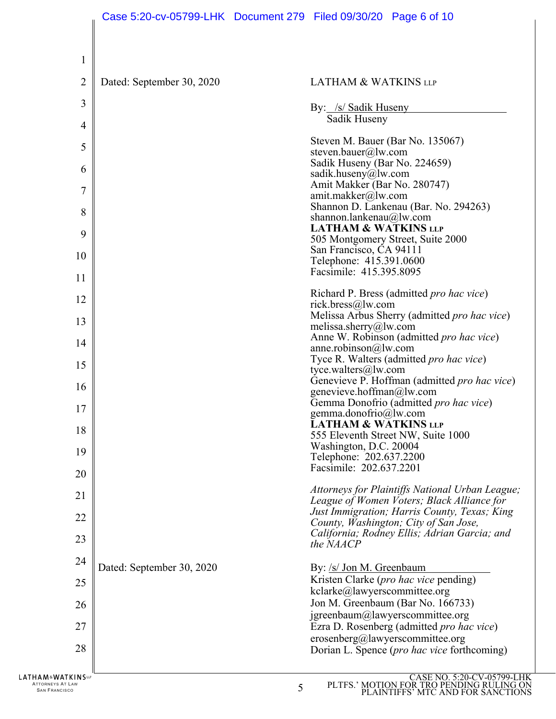| 1                 |                           |                                                                                            |
|-------------------|---------------------------|--------------------------------------------------------------------------------------------|
| $\overline{2}$    | Dated: September 30, 2020 | <b>LATHAM &amp; WATKINS LLP</b>                                                            |
| 3                 |                           | By: /s/ Sadik Huseny                                                                       |
| $\overline{4}$    |                           | Sadik Huseny                                                                               |
| 5                 |                           | Steven M. Bauer (Bar No. 135067)                                                           |
| 6                 |                           | steven.bauer@lw.com<br>Sadik Huseny (Bar No. 224659)                                       |
|                   |                           | sadik.huseny@lw.com<br>Amit Makker (Bar No. 280747)                                        |
| 7                 |                           | amit.makker@lw.com<br>Shannon D. Lankenau (Bar. No. 294263)                                |
| 8                 |                           | shannon.lankenau@lw.com                                                                    |
| 9                 |                           | <b>LATHAM &amp; WATKINS LLP</b><br>505 Montgomery Street, Suite 2000                       |
| 10                |                           | San Francisco, CA 94111<br>Telephone: 415.391.0600                                         |
| 11                |                           | Facsimile: 415.395.8095                                                                    |
| 12                |                           | Richard P. Bress (admitted <i>pro hac vice</i> )                                           |
| 13                |                           | rick.bress@lw.com<br>Melissa Arbus Sherry (admitted pro hac vice)                          |
|                   |                           | melissa.sherry@lw.com<br>Anne W. Robinson (admitted pro hac vice)                          |
| 14                |                           | anne.robinson@lw.com<br>Tyce R. Walters (admitted <i>pro hac vice</i> )                    |
| 15                |                           | tyce.walters@lw.com                                                                        |
| 16                |                           | Genevieve P. Hoffman (admitted pro hac vice)<br>genevieve.hoffman@lw.com                   |
| 17                |                           | Gemma Donofrio (admitted pro hac vice)<br>gemma.donofrio@lw.com                            |
| 18                |                           | LATHAM & WATKINS LLP<br>555 Eleventh Street NW, Suite 1000                                 |
| 19                |                           | Washington, D.C. 20004                                                                     |
| 20                |                           | Telephone: 202.637.2200<br>Facsimile: 202.637.2201                                         |
|                   |                           | Attorneys for Plaintiffs National Urban League;                                            |
| 21                |                           | League of Women Voters; Black Alliance for<br>Just Immigration; Harris County, Texas; King |
| 22                |                           | County, Washington; City of San Jose,<br>California; Rodney Ellis; Adrian Garcia; and      |
| 23                |                           | the NAACP                                                                                  |
| 24                | Dated: September 30, 2020 | By: /s/ Jon M. Greenbaum                                                                   |
| 25                |                           | Kristen Clarke (pro hac vice pending)<br>kclarke@lawyerscommittee.org                      |
| 26                |                           | Jon M. Greenbaum (Bar No. 166733)                                                          |
| 27                |                           | jgreenbaum@lawyerscommittee.org<br>Ezra D. Rosenberg (admitted pro hac vice)               |
| 28                |                           | erosenberg@lawyerscommittee.org                                                            |
|                   |                           | Dorian L. Spence (pro hac vice forthcoming)                                                |
| LATHAM&WATKINSLUF |                           | CASE NO. 5:20-CV-05799-LHK                                                                 |

ATTORNEYS AT LAW **SAN FRANCISCO CONTRACT SUPPORT OF SAN FRANCISCO** SAN FRANCISCO SUPPORT OF SAN FRANCISCO SUPPORT OF SAN FRANCISCO SUPPORT OF SAN FRANCISCO SUPPORT OF SAN FRANCISCO SUPPORT OF SAN FRANCISCO SUPPORT OF SAN F

PLTFS.' MOTION FOR TRO PENDING RULING ON PLAINTIFFS' MTC AND FOR SANCTIONS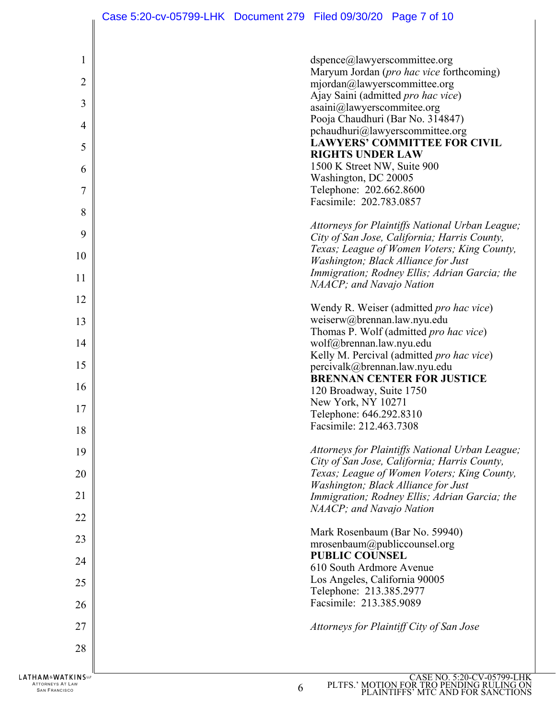| 1              | dspence@lawyerscommittee.org                                                       |
|----------------|------------------------------------------------------------------------------------|
| $\overline{2}$ | Maryum Jordan (pro hac vice forthcoming)<br>mjordan@lawyerscommittee.org           |
| 3              | Ajay Saini (admitted pro hac vice)<br>asaini@lawyerscommitee.org                   |
| 4              | Pooja Chaudhuri (Bar No. 314847)<br>pchaudhuri@lawyerscommittee.org                |
| 5              | <b>LAWYERS' COMMITTEE FOR CIVIL</b>                                                |
| 6              | <b>RIGHTS UNDER LAW</b><br>1500 K Street NW, Suite 900                             |
|                | Washington, DC 20005                                                               |
| 7              | Telephone: 202.662.8600<br>Facsimile: 202.783.0857                                 |
| 8              | Attorneys for Plaintiffs National Urban League;                                    |
| 9              | City of San Jose, California; Harris County,                                       |
| 10             | Texas; League of Women Voters; King County,<br>Washington; Black Alliance for Just |
| 11             | Immigration; Rodney Ellis; Adrian Garcia; the                                      |
| 12             | NAACP; and Navajo Nation                                                           |
| 13             | Wendy R. Weiser (admitted pro hac vice)<br>weiserw@brennan.law.nyu.edu             |
|                | Thomas P. Wolf (admitted pro hac vice)                                             |
| 14             | wolf@brennan.law.nyu.edu<br>Kelly M. Percival (admitted pro hac vice)              |
| 15             | percivalk@brennan.law.nyu.edu                                                      |
| 16             | <b>BRENNAN CENTER FOR JUSTICE</b><br>120 Broadway, Suite 1750                      |
| 17             | New York, NY 10271<br>Telephone: 646.292.8310                                      |
| 18             | Facsimile: 212.463.7308                                                            |
| 19             | Attorneys for Plaintiffs National Urban League;                                    |
|                | City of San Jose, California; Harris County,                                       |
| 20             | Texas; League of Women Voters; King County,<br>Washington; Black Alliance for Just |
| 21             | Immigration; Rodney Ellis; Adrian Garcia; the<br>NAACP; and Navajo Nation          |
| 22             |                                                                                    |
| 23             | Mark Rosenbaum (Bar No. 59940)<br>mrosenbaum@publiccounsel.org                     |
| 24             | <b>PUBLIC COUNSEL</b>                                                              |
| 25             | 610 South Ardmore Avenue<br>Los Angeles, California 90005                          |
|                | Telephone: 213.385.2977<br>Facsimile: 213.385.9089                                 |
| 26             |                                                                                    |
| 27             | Attorneys for Plaintiff City of San Jose                                           |
| 28             |                                                                                    |
|                | LOO OU ALTOO                                                                       |

ATTORNEYS AT LAW  $6 \overline{6}$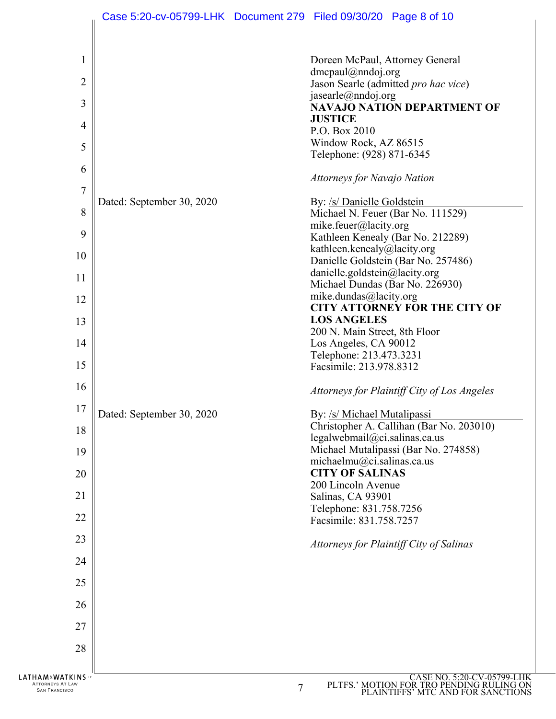| $\mathbf{1}$                                             |                           | Doreen McPaul, Attorney General                                                                                  |
|----------------------------------------------------------|---------------------------|------------------------------------------------------------------------------------------------------------------|
| $\overline{2}$                                           |                           | $d$ mcpaul@nndoj.org<br>Jason Searle (admitted pro hac vice)                                                     |
|                                                          |                           | jasearle@nndoj.org                                                                                               |
| 3                                                        |                           | <b>NAVAJO NATION DEPARTMENT OF</b><br><b>JUSTICE</b>                                                             |
| 4                                                        |                           | P.O. Box 2010                                                                                                    |
| 5                                                        |                           | Window Rock, AZ 86515<br>Telephone: (928) 871-6345                                                               |
| 6                                                        |                           |                                                                                                                  |
| 7                                                        |                           | Attorneys for Navajo Nation                                                                                      |
|                                                          | Dated: September 30, 2020 | By: /s/ Danielle Goldstein                                                                                       |
| 8                                                        |                           | Michael N. Feuer (Bar No. 111529)<br>mike.feuer@lacity.org                                                       |
| 9                                                        |                           | Kathleen Kenealy (Bar No. 212289)                                                                                |
| 10                                                       |                           | kathleen.kenealy@lacity.org                                                                                      |
|                                                          |                           | Danielle Goldstein (Bar No. 257486)<br>danielle.goldstein@lacity.org                                             |
| 11                                                       |                           | Michael Dundas (Bar No. 226930)                                                                                  |
| 12                                                       |                           | mike.dundas@lacity.org                                                                                           |
|                                                          |                           | <b>CITY ATTORNEY FOR THE CITY OF</b><br><b>LOS ANGELES</b>                                                       |
| 13                                                       |                           | 200 N. Main Street, 8th Floor                                                                                    |
| 14                                                       |                           | Los Angeles, CA 90012                                                                                            |
|                                                          |                           | Telephone: 213.473.3231                                                                                          |
| 15                                                       |                           | Facsimile: 213.978.8312                                                                                          |
| 16                                                       |                           | Attorneys for Plaintiff City of Los Angeles                                                                      |
| 17                                                       | Dated: September 30, 2020 | By: /s/ Michael Mutalipassi                                                                                      |
| 18                                                       |                           | Christopher A. Callihan (Bar No. 203010)                                                                         |
|                                                          |                           | legalwebmail@ci.salinas.ca.us<br>Michael Mutalipassi (Bar No. 274858)                                            |
| 19                                                       |                           | michaelmu@ci.salinas.ca.us                                                                                       |
| 20                                                       |                           | <b>CITY OF SALINAS</b>                                                                                           |
|                                                          |                           | 200 Lincoln Avenue                                                                                               |
| 21                                                       |                           | Salinas, CA 93901<br>Telephone: 831.758.7256                                                                     |
| 22                                                       |                           | Facsimile: 831.758.7257                                                                                          |
| 23                                                       |                           | Attorneys for Plaintiff City of Salinas                                                                          |
| 24                                                       |                           |                                                                                                                  |
| 25                                                       |                           |                                                                                                                  |
| 26                                                       |                           |                                                                                                                  |
| 27                                                       |                           |                                                                                                                  |
| 28                                                       |                           |                                                                                                                  |
|                                                          |                           |                                                                                                                  |
| HAM&WATKINS™<br>ATTORNEYS AT LAW<br><b>SAN FRANCISCO</b> |                           | CASE NO. 5:20-CV-05799-LHK<br>PLTFS.' MOTION FOR TRO PENDING RULING ON<br>PLAINTIFES' MTC AND FOR SANCTIONS<br>7 |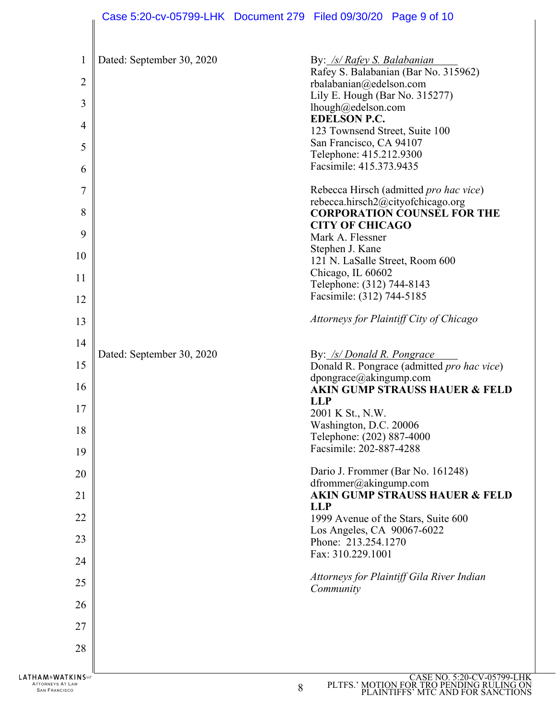| $\mathbf{1}$<br>$\overline{2}$<br>$\mathfrak{Z}$<br>4<br>5<br>6<br>7<br>8<br>9<br>10<br>11<br>12 | Dated: September 30, 2020 | By: /s/ Rafey S. Balabanian<br>Rafey S. Balabanian (Bar No. 315962)<br>rbalabanian@edelson.com<br>Lily E. Hough (Bar No. 315277)<br>lhough@edelson.com<br><b>EDELSON P.C.</b><br>123 Townsend Street, Suite 100<br>San Francisco, CA 94107<br>Telephone: 415.212.9300<br>Facsimile: 415.373.9435<br>Rebecca Hirsch (admitted pro hac vice)<br>rebecca.hirsch2@cityofchicago.org<br><b>CORPORATION COUNSEL FOR THE</b><br><b>CITY OF CHICAGO</b><br>Mark A. Flessner<br>Stephen J. Kane<br>121 N. LaSalle Street, Room 600<br>Chicago, IL 60602<br>Telephone: (312) 744-8143<br>Facsimile: (312) 744-5185<br>Attorneys for Plaintiff City of Chicago |
|--------------------------------------------------------------------------------------------------|---------------------------|-----------------------------------------------------------------------------------------------------------------------------------------------------------------------------------------------------------------------------------------------------------------------------------------------------------------------------------------------------------------------------------------------------------------------------------------------------------------------------------------------------------------------------------------------------------------------------------------------------------------------------------------------------|
| 13                                                                                               |                           |                                                                                                                                                                                                                                                                                                                                                                                                                                                                                                                                                                                                                                                     |
| 14                                                                                               | Dated: September 30, 2020 | By: /s/ Donald R. Pongrace                                                                                                                                                                                                                                                                                                                                                                                                                                                                                                                                                                                                                          |
| 15<br>16                                                                                         |                           | Donald R. Pongrace (admitted pro hac vice)<br>dpongrace@akingump.com<br><b>AKIN GUMP STRAUSS HAUER &amp; FELD</b>                                                                                                                                                                                                                                                                                                                                                                                                                                                                                                                                   |
| 17                                                                                               |                           | <b>LLP</b><br>2001 K St., N.W.                                                                                                                                                                                                                                                                                                                                                                                                                                                                                                                                                                                                                      |
| 18                                                                                               |                           | Washington, D.C. 20006<br>Telephone: (202) 887-4000                                                                                                                                                                                                                                                                                                                                                                                                                                                                                                                                                                                                 |
| 19                                                                                               |                           | Facsimile: 202-887-4288                                                                                                                                                                                                                                                                                                                                                                                                                                                                                                                                                                                                                             |
| 20                                                                                               |                           | Dario J. Frommer (Bar No. 161248)<br>dfrommer@akingump.com                                                                                                                                                                                                                                                                                                                                                                                                                                                                                                                                                                                          |
| 21                                                                                               |                           | <b>AKIN GUMP STRAUSS HAUER &amp; FELD</b><br><b>LLP</b>                                                                                                                                                                                                                                                                                                                                                                                                                                                                                                                                                                                             |
| 22                                                                                               |                           | 1999 Avenue of the Stars, Suite 600                                                                                                                                                                                                                                                                                                                                                                                                                                                                                                                                                                                                                 |
| 23                                                                                               |                           | Los Angeles, CA 90067-6022<br>Phone: 213.254.1270                                                                                                                                                                                                                                                                                                                                                                                                                                                                                                                                                                                                   |
| 24                                                                                               |                           | Fax: 310.229.1001                                                                                                                                                                                                                                                                                                                                                                                                                                                                                                                                                                                                                                   |
| 25                                                                                               |                           | Attorneys for Plaintiff Gila River Indian<br>Community                                                                                                                                                                                                                                                                                                                                                                                                                                                                                                                                                                                              |
| 26                                                                                               |                           |                                                                                                                                                                                                                                                                                                                                                                                                                                                                                                                                                                                                                                                     |
| 27                                                                                               |                           |                                                                                                                                                                                                                                                                                                                                                                                                                                                                                                                                                                                                                                                     |
| 28                                                                                               |                           |                                                                                                                                                                                                                                                                                                                                                                                                                                                                                                                                                                                                                                                     |
| <b>LATHAM&amp;WATKINS</b><br><b>ATTORNEYS AT LAW</b><br><b>SAN FRANCISCO</b>                     |                           | CASE NO. 5:20-CV-05799-LHK<br>PLTFS.' MOTION FOR TRO PENDING RULING ON PLAINTIFFS' MTC AND FOR SANCTIONS<br>8                                                                                                                                                                                                                                                                                                                                                                                                                                                                                                                                       |